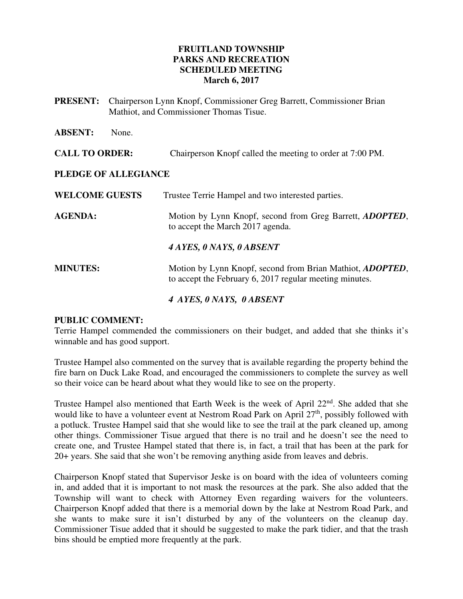#### **FRUITLAND TOWNSHIP PARKS AND RECREATION SCHEDULED MEETING March 6, 2017**

| <b>PRESENT:</b>       | Chairperson Lynn Knopf, Commissioner Greg Barrett, Commissioner Brian<br>Mathiot, and Commissioner Thomas Tisue. |                                                                                                      |
|-----------------------|------------------------------------------------------------------------------------------------------------------|------------------------------------------------------------------------------------------------------|
| <b>ABSENT:</b>        | None.                                                                                                            |                                                                                                      |
| <b>CALL TO ORDER:</b> |                                                                                                                  | Chairperson Knopf called the meeting to order at 7:00 PM.                                            |
| PLEDGE OF ALLEGIANCE  |                                                                                                                  |                                                                                                      |
| <b>WELCOME GUESTS</b> |                                                                                                                  | Trustee Terrie Hampel and two interested parties.                                                    |
| <b>AGENDA:</b>        |                                                                                                                  | Motion by Lynn Knopf, second from Greg Barrett, <i>ADOPTED</i> ,<br>to accept the March 2017 agenda. |

*4 AYES, 0 NAYS, 0 ABSENT*

**MINUTES:** Motion by Lynn Knopf, second from Brian Mathiot, *ADOPTED*, to accept the February 6, 2017 regular meeting minutes.

*4 AYES, 0 NAYS, 0 ABSENT* 

#### **PUBLIC COMMENT:**

Terrie Hampel commended the commissioners on their budget, and added that she thinks it's winnable and has good support.

Trustee Hampel also commented on the survey that is available regarding the property behind the fire barn on Duck Lake Road, and encouraged the commissioners to complete the survey as well so their voice can be heard about what they would like to see on the property.

Trustee Hampel also mentioned that Earth Week is the week of April  $22<sup>nd</sup>$ . She added that she would like to have a volunteer event at Nestrom Road Park on April 27<sup>th</sup>, possibly followed with a potluck. Trustee Hampel said that she would like to see the trail at the park cleaned up, among other things. Commissioner Tisue argued that there is no trail and he doesn't see the need to create one, and Trustee Hampel stated that there is, in fact, a trail that has been at the park for 20+ years. She said that she won't be removing anything aside from leaves and debris.

Chairperson Knopf stated that Supervisor Jeske is on board with the idea of volunteers coming in, and added that it is important to not mask the resources at the park. She also added that the Township will want to check with Attorney Even regarding waivers for the volunteers. Chairperson Knopf added that there is a memorial down by the lake at Nestrom Road Park, and she wants to make sure it isn't disturbed by any of the volunteers on the cleanup day. Commissioner Tisue added that it should be suggested to make the park tidier, and that the trash bins should be emptied more frequently at the park.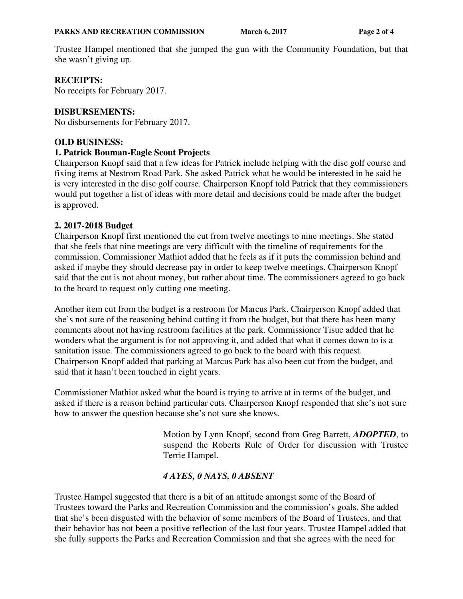Trustee Hampel mentioned that she jumped the gun with the Community Foundation, but that she wasn't giving up.

### **RECEIPTS:**

No receipts for February 2017.

### **DISBURSEMENTS:**

No disbursements for February 2017.

#### **OLD BUSINESS:**

#### **1. Patrick Bouman-Eagle Scout Projects**

Chairperson Knopf said that a few ideas for Patrick include helping with the disc golf course and fixing items at Nestrom Road Park. She asked Patrick what he would be interested in he said he is very interested in the disc golf course. Chairperson Knopf told Patrick that they commissioners would put together a list of ideas with more detail and decisions could be made after the budget is approved.

## **2. 2017-2018 Budget**

Chairperson Knopf first mentioned the cut from twelve meetings to nine meetings. She stated that she feels that nine meetings are very difficult with the timeline of requirements for the commission. Commissioner Mathiot added that he feels as if it puts the commission behind and asked if maybe they should decrease pay in order to keep twelve meetings. Chairperson Knopf said that the cut is not about money, but rather about time. The commissioners agreed to go back to the board to request only cutting one meeting.

Another item cut from the budget is a restroom for Marcus Park. Chairperson Knopf added that she's not sure of the reasoning behind cutting it from the budget, but that there has been many comments about not having restroom facilities at the park. Commissioner Tisue added that he wonders what the argument is for not approving it, and added that what it comes down to is a sanitation issue. The commissioners agreed to go back to the board with this request. Chairperson Knopf added that parking at Marcus Park has also been cut from the budget, and said that it hasn't been touched in eight years.

Commissioner Mathiot asked what the board is trying to arrive at in terms of the budget, and asked if there is a reason behind particular cuts. Chairperson Knopf responded that she's not sure how to answer the question because she's not sure she knows.

> Motion by Lynn Knopf, second from Greg Barrett, *ADOPTED*, to suspend the Roberts Rule of Order for discussion with Trustee Terrie Hampel.

# *4 AYES, 0 NAYS, 0 ABSENT*

Trustee Hampel suggested that there is a bit of an attitude amongst some of the Board of Trustees toward the Parks and Recreation Commission and the commission's goals. She added that she's been disgusted with the behavior of some members of the Board of Trustees, and that their behavior has not been a positive reflection of the last four years. Trustee Hampel added that she fully supports the Parks and Recreation Commission and that she agrees with the need for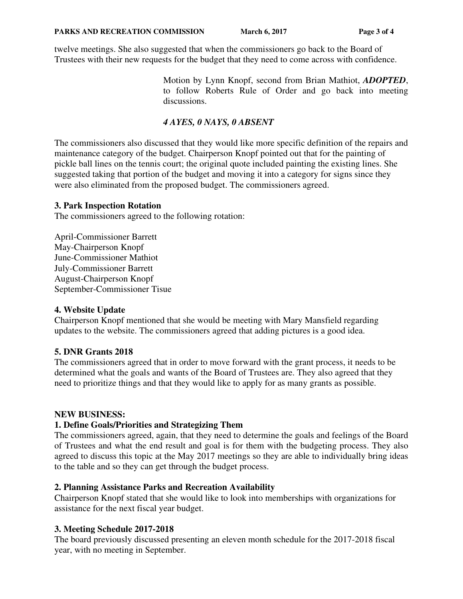twelve meetings. She also suggested that when the commissioners go back to the Board of Trustees with their new requests for the budget that they need to come across with confidence.

> Motion by Lynn Knopf, second from Brian Mathiot, *ADOPTED*, to follow Roberts Rule of Order and go back into meeting discussions.

# *4 AYES, 0 NAYS, 0 ABSENT*

The commissioners also discussed that they would like more specific definition of the repairs and maintenance category of the budget. Chairperson Knopf pointed out that for the painting of pickle ball lines on the tennis court; the original quote included painting the existing lines. She suggested taking that portion of the budget and moving it into a category for signs since they were also eliminated from the proposed budget. The commissioners agreed.

#### **3. Park Inspection Rotation**

The commissioners agreed to the following rotation:

April-Commissioner Barrett May-Chairperson Knopf June-Commissioner Mathiot July-Commissioner Barrett August-Chairperson Knopf September-Commissioner Tisue

#### **4. Website Update**

Chairperson Knopf mentioned that she would be meeting with Mary Mansfield regarding updates to the website. The commissioners agreed that adding pictures is a good idea.

#### **5. DNR Grants 2018**

The commissioners agreed that in order to move forward with the grant process, it needs to be determined what the goals and wants of the Board of Trustees are. They also agreed that they need to prioritize things and that they would like to apply for as many grants as possible.

#### **NEW BUSINESS:**

#### **1. Define Goals/Priorities and Strategizing Them**

The commissioners agreed, again, that they need to determine the goals and feelings of the Board of Trustees and what the end result and goal is for them with the budgeting process. They also agreed to discuss this topic at the May 2017 meetings so they are able to individually bring ideas to the table and so they can get through the budget process.

#### **2. Planning Assistance Parks and Recreation Availability**

Chairperson Knopf stated that she would like to look into memberships with organizations for assistance for the next fiscal year budget.

# **3. Meeting Schedule 2017-2018**

The board previously discussed presenting an eleven month schedule for the 2017-2018 fiscal year, with no meeting in September.